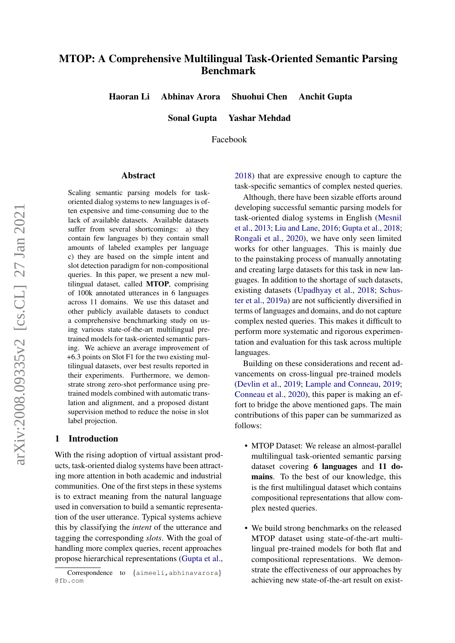# MTOP: A Comprehensive Multilingual Task-Oriented Semantic Parsing Benchmark

Haoran Li Abhinav Arora Shuohui Chen Anchit Gupta

Sonal Gupta Yashar Mehdad

Facebook

#### Abstract

Scaling semantic parsing models for taskoriented dialog systems to new languages is often expensive and time-consuming due to the lack of available datasets. Available datasets suffer from several shortcomings: a) they contain few languages b) they contain small amounts of labeled examples per language c) they are based on the simple intent and slot detection paradigm for non-compositional queries. In this paper, we present a new multilingual dataset, called MTOP, comprising of 100k annotated utterances in 6 languages across 11 domains. We use this dataset and other publicly available datasets to conduct a comprehensive benchmarking study on using various state-of-the-art multilingual pretrained models for task-oriented semantic parsing. We achieve an average improvement of +6.3 points on Slot F1 for the two existing multilingual datasets, over best results reported in their experiments. Furthermore, we demonstrate strong zero-shot performance using pretrained models combined with automatic translation and alignment, and a proposed distant supervision method to reduce the noise in slot label projection.

#### 1 Introduction

With the rising adoption of virtual assistant products, task-oriented dialog systems have been attracting more attention in both academic and industrial communities. One of the first steps in these systems is to extract meaning from the natural language used in conversation to build a semantic representation of the user utterance. Typical systems achieve this by classifying the *intent* of the utterance and tagging the corresponding *slots*. With the goal of handling more complex queries, recent approaches propose hierarchical representations [\(Gupta et al.,](#page-8-0) [2018\)](#page-8-0) that are expressive enough to capture the task-specific semantics of complex nested queries.

Although, there have been sizable efforts around developing successful semantic parsing models for task-oriented dialog systems in English [\(Mesnil](#page-9-0) [et al.,](#page-9-0) [2013;](#page-9-0) [Liu and Lane,](#page-9-1) [2016;](#page-9-1) [Gupta et al.,](#page-8-0) [2018;](#page-8-0) [Rongali et al.,](#page-9-2) [2020\)](#page-9-2), we have only seen limited works for other languages. This is mainly due to the painstaking process of manually annotating and creating large datasets for this task in new languages. In addition to the shortage of such datasets, existing datasets [\(Upadhyay et al.,](#page-9-3) [2018;](#page-9-3) [Schus](#page-9-4)[ter et al.,](#page-9-4) [2019a\)](#page-9-4) are not sufficiently diversified in terms of languages and domains, and do not capture complex nested queries. This makes it difficult to perform more systematic and rigorous experimentation and evaluation for this task across multiple languages.

Building on these considerations and recent advancements on cross-lingual pre-trained models [\(Devlin et al.,](#page-8-1) [2019;](#page-8-1) [Lample and Conneau,](#page-8-2) [2019;](#page-8-2) [Conneau et al.,](#page-8-3) [2020\)](#page-8-3), this paper is making an effort to bridge the above mentioned gaps. The main contributions of this paper can be summarized as follows:

- MTOP Dataset: We release an almost-parallel multilingual task-oriented semantic parsing dataset covering 6 languages and 11 domains. To the best of our knowledge, this is the first multilingual dataset which contains compositional representations that allow complex nested queries.
- We build strong benchmarks on the released MTOP dataset using state-of-the-art multilingual pre-trained models for both flat and compositional representations. We demonstrate the effectiveness of our approaches by achieving new state-of-the-art result on exist-

Correspondence to {aimeeli,abhinavarora} @fb.com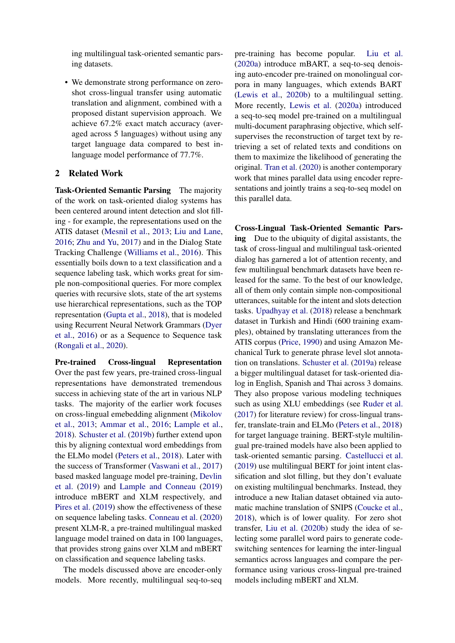ing multilingual task-oriented semantic parsing datasets.

• We demonstrate strong performance on zeroshot cross-lingual transfer using automatic translation and alignment, combined with a proposed distant supervision approach. We achieve 67.2% exact match accuracy (averaged across 5 languages) without using any target language data compared to best inlanguage model performance of 77.7%.

# 2 Related Work

Task-Oriented Semantic Parsing The majority of the work on task-oriented dialog systems has been centered around intent detection and slot filling - for example, the representations used on the ATIS dataset [\(Mesnil et al.,](#page-9-0) [2013;](#page-9-0) [Liu and Lane,](#page-9-1) [2016;](#page-9-1) [Zhu and Yu,](#page-10-0) [2017\)](#page-10-0) and in the Dialog State Tracking Challenge [\(Williams et al.,](#page-9-5) [2016\)](#page-9-5). This essentially boils down to a text classification and a sequence labeling task, which works great for simple non-compositional queries. For more complex queries with recursive slots, state of the art systems use hierarchical representations, such as the TOP representation [\(Gupta et al.,](#page-8-0) [2018\)](#page-8-0), that is modeled using Recurrent Neural Network Grammars [\(Dyer](#page-8-4) [et al.,](#page-8-4) [2016\)](#page-8-4) or as a Sequence to Sequence task [\(Rongali et al.,](#page-9-2) [2020\)](#page-9-2).

Pre-trained Cross-lingual Representation Over the past few years, pre-trained cross-lingual representations have demonstrated tremendous success in achieving state of the art in various NLP tasks. The majority of the earlier work focuses on cross-lingual emebedding alignment [\(Mikolov](#page-9-6) [et al.,](#page-9-6) [2013;](#page-9-6) [Ammar et al.,](#page-8-5) [2016;](#page-8-5) [Lample et al.,](#page-9-7) [2018\)](#page-9-7). [Schuster et al.](#page-9-8) [\(2019b\)](#page-9-8) further extend upon this by aligning contextual word embeddings from the ELMo model [\(Peters et al.,](#page-9-9) [2018\)](#page-9-9). Later with the success of Transformer [\(Vaswani et al.,](#page-9-10) [2017\)](#page-9-10) based masked language model pre-training, [Devlin](#page-8-1) [et al.](#page-8-1) [\(2019\)](#page-8-1) and [Lample and Conneau](#page-8-2) [\(2019\)](#page-8-2) introduce mBERT and XLM respectively, and [Pires et al.](#page-9-11) [\(2019\)](#page-9-11) show the effectiveness of these on sequence labeling tasks. [Conneau et al.](#page-8-3) [\(2020\)](#page-8-3) present XLM-R, a pre-trained multilingual masked language model trained on data in 100 languages, that provides strong gains over XLM and mBERT on classification and sequence labeling tasks.

The models discussed above are encoder-only models. More recently, multilingual seq-to-seq

pre-training has become popular. [Liu et al.](#page-9-12) [\(2020a\)](#page-9-12) introduce mBART, a seq-to-seq denoising auto-encoder pre-trained on monolingual corpora in many languages, which extends BART [\(Lewis et al.,](#page-9-13) [2020b\)](#page-9-13) to a multilingual setting. More recently, [Lewis et al.](#page-9-14) [\(2020a\)](#page-9-14) introduced a seq-to-seq model pre-trained on a multilingual multi-document paraphrasing objective, which selfsupervises the reconstruction of target text by retrieving a set of related texts and conditions on them to maximize the likelihood of generating the original. [Tran et al.](#page-9-15) [\(2020\)](#page-9-15) is another contemporary work that mines parallel data using encoder representations and jointly trains a seq-to-seq model on this parallel data.

Cross-Lingual Task-Oriented Semantic Parsing Due to the ubiquity of digital assistants, the task of cross-lingual and multilingual task-oriented dialog has garnered a lot of attention recenty, and few multilingual benchmark datasets have been released for the same. To the best of our knowledge, all of them only contain simple non-compositional utterances, suitable for the intent and slots detection tasks. [Upadhyay et al.](#page-9-3) [\(2018\)](#page-9-3) release a benchmark dataset in Turkish and Hindi (600 training examples), obtained by translating utterances from the ATIS corpus [\(Price,](#page-9-16) [1990\)](#page-9-16) and using Amazon Mechanical Turk to generate phrase level slot annotation on translations. [Schuster et al.](#page-9-4) [\(2019a\)](#page-9-4) release a bigger multilingual dataset for task-oriented dialog in English, Spanish and Thai across 3 domains. They also propose various modeling techniques such as using XLU embeddings (see [Ruder et al.](#page-9-17) [\(2017\)](#page-9-17) for literature review) for cross-lingual transfer, translate-train and ELMo [\(Peters et al.,](#page-9-9) [2018\)](#page-9-9) for target language training. BERT-style multilingual pre-trained models have also been applied to task-oriented semantic parsing. [Castellucci et al.](#page-8-6) [\(2019\)](#page-8-6) use multilingual BERT for joint intent classification and slot filling, but they don't evaluate on existing multilingual benchmarks. Instead, they introduce a new Italian dataset obtained via automatic machine translation of SNIPS [\(Coucke et al.,](#page-8-7) [2018\)](#page-8-7), which is of lower quality. For zero shot transfer, [Liu et al.](#page-9-18) [\(2020b\)](#page-9-18) study the idea of selecting some parallel word pairs to generate codeswitching sentences for learning the inter-lingual semantics across languages and compare the performance using various cross-lingual pre-trained models including mBERT and XLM.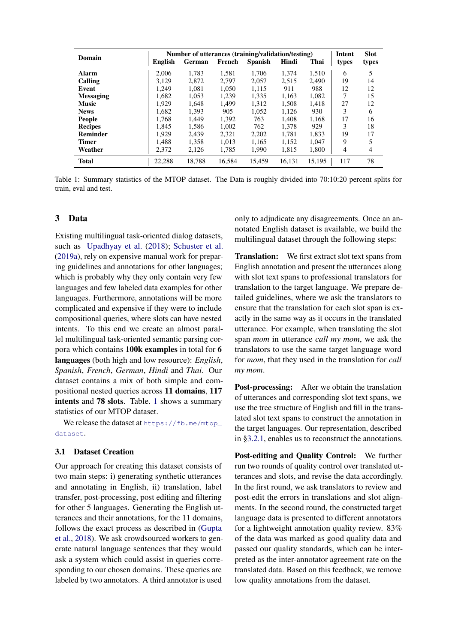<span id="page-2-0"></span>

| Domain           | <b>English</b> | Number of utterances (training/validation/testing)<br>German | French | <b>Spanish</b> | Hindi  | Thai   | Intent<br>types | <b>Slot</b><br>types |
|------------------|----------------|--------------------------------------------------------------|--------|----------------|--------|--------|-----------------|----------------------|
| <b>Alarm</b>     | 2.006          | 1.783                                                        | 1,581  | 1.706          | 1.374  | 1.510  | 6               | 5                    |
| Calling          | 3.129          | 2.872                                                        | 2.797  | 2,057          | 2.515  | 2.490  | 19              | 14                   |
| Event            | 1.249          | 1.081                                                        | 1,050  | 1,115          | 911    | 988    | 12              | 12                   |
| <b>Messaging</b> | 1.682          | 1.053                                                        | 1.239  | 1.335          | 1.163  | 1.082  | 7               | 15                   |
| <b>Music</b>     | 1.929          | 1.648                                                        | 1.499  | 1.312          | 1.508  | 1.418  | 27              | 12                   |
| <b>News</b>      | 1.682          | 1,393                                                        | 905    | 1,052          | 1,126  | 930    | 3               | 6                    |
| <b>People</b>    | 1.768          | 1.449                                                        | 1.392  | 763            | 1.408  | 1.168  | 17              | 16                   |
| <b>Recipes</b>   | 1.845          | 1,586                                                        | 1.002  | 762            | 1,378  | 929    | 3               | 18                   |
| Reminder         | 1.929          | 2.439                                                        | 2,321  | 2,202          | 1,781  | 1,833  | 19              | 17                   |
| <b>Timer</b>     | 1.488          | 1.358                                                        | 1.013  | 1.165          | 1.152  | 1.047  | 9               |                      |
| Weather          | 2.372          | 2,126                                                        | 1,785  | 1,990          | 1,815  | 1,800  | 4               | 4                    |
| <b>Total</b>     | 22.288         | 18.788                                                       | 16.584 | 15.459         | 16.131 | 15.195 | 117             | 78                   |

Table 1: Summary statistics of the MTOP dataset. The Data is roughly divided into 70:10:20 percent splits for train, eval and test.

### <span id="page-2-1"></span>3 Data

Existing multilingual task-oriented dialog datasets, such as [Upadhyay et al.](#page-9-3) [\(2018\)](#page-9-3); [Schuster et al.](#page-9-4) [\(2019a\)](#page-9-4), rely on expensive manual work for preparing guidelines and annotations for other languages; which is probably why they only contain very few languages and few labeled data examples for other languages. Furthermore, annotations will be more complicated and expensive if they were to include compositional queries, where slots can have nested intents. To this end we create an almost parallel multilingual task-oriented semantic parsing corpora which contains 100k examples in total for 6 languages (both high and low resource): *English*, *Spanish*, *French*, *German*, *Hindi* and *Thai*. Our dataset contains a mix of both simple and compositional nested queries across 11 domains, 117 intents and 78 slots. Table. [1](#page-2-0) shows a summary statistics of our MTOP dataset.

We release the dataset at [https://fb.me/mtop\\_](https://fb.me/mtop_dataset) [dataset](https://fb.me/mtop_dataset).

#### 3.1 Dataset Creation

Our approach for creating this dataset consists of two main steps: i) generating synthetic utterances and annotating in English, ii) translation, label transfer, post-processing, post editing and filtering for other 5 languages. Generating the English utterances and their annotations, for the 11 domains, follows the exact process as described in [\(Gupta](#page-8-0) [et al.,](#page-8-0) [2018\)](#page-8-0). We ask crowdsourced workers to generate natural language sentences that they would ask a system which could assist in queries corresponding to our chosen domains. These queries are labeled by two annotators. A third annotator is used only to adjudicate any disagreements. Once an annotated English dataset is available, we build the multilingual dataset through the following steps:

Translation: We first extract slot text spans from English annotation and present the utterances along with slot text spans to professional translators for translation to the target language. We prepare detailed guidelines, where we ask the translators to ensure that the translation for each slot span is exactly in the same way as it occurs in the translated utterance. For example, when translating the slot span *mom* in utterance *call my mom*, we ask the translators to use the same target language word for *mom*, that they used in the translation for *call my mom*.

Post-processing: After we obtain the translation of utterances and corresponding slot text spans, we use the tree structure of English and fill in the translated slot text spans to construct the annotation in the target languages. Our representation, described in [§3.2.1,](#page-3-0) enables us to reconstruct the annotations.

Post-editing and Quality Control: We further run two rounds of quality control over translated utterances and slots, and revise the data accordingly. In the first round, we ask translators to review and post-edit the errors in translations and slot alignments. In the second round, the constructed target language data is presented to different annotators for a lightweight annotation quality review. 83% of the data was marked as good quality data and passed our quality standards, which can be interpreted as the inter-annotator agreement rate on the translated data. Based on this feedback, we remove low quality annotations from the dataset.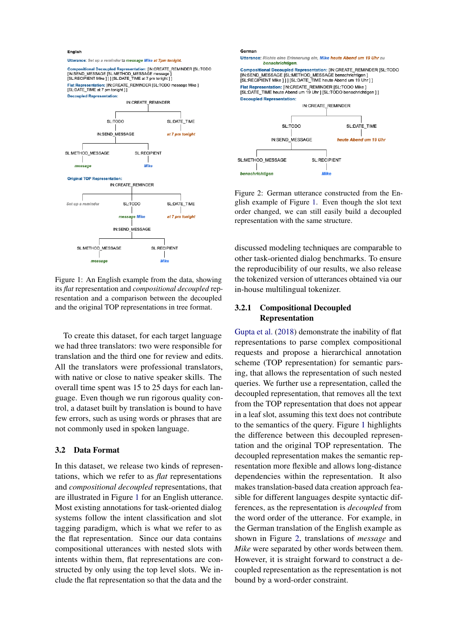<span id="page-3-1"></span>English

Utterance: Set up a reminder to message Mike at 7pm tonight

Compositional Decoupled Representation: [IN:CREATE\_REMINDER [SL:TODO<br>[IN:SEND\_MESSAGE [SL:METHOD\_MESSAGE message ]<br>[SL:RECIPIENT Mike ] ] ] [SL:DATE\_TIME at 7 pm tonight ] ] Flat Representation: IIN:CREATE REMINDER ISL:TODO message Mike 1 [SL:DATE\_TIME at 7 pm tonight ] ] Decoupled Representation:



Figure 1: An English example from the data, showing its *flat* representation and *compositional decoupled* representation and a comparison between the decoupled and the original TOP representations in tree format.

To create this dataset, for each target language we had three translators: two were responsible for translation and the third one for review and edits. All the translators were professional translators, with native or close to native speaker skills. The overall time spent was 15 to 25 days for each language. Even though we run rigorous quality control, a dataset built by translation is bound to have few errors, such as using words or phrases that are not commonly used in spoken language.

#### 3.2 Data Format

In this dataset, we release two kinds of representations, which we refer to as *flat* representations and *compositional decoupled* representations, that are illustrated in Figure [1](#page-3-1) for an English utterance. Most existing annotations for task-oriented dialog systems follow the intent classification and slot tagging paradigm, which is what we refer to as the flat representation. Since our data contains compositional utterances with nested slots with intents within them, flat representations are constructed by only using the top level slots. We include the flat representation so that the data and the

<span id="page-3-2"></span>

Figure 2: German utterance constructed from the English example of Figure [1.](#page-3-1) Even though the slot text order changed, we can still easily build a decoupled representation with the same structure.

discussed modeling techniques are comparable to other task-oriented dialog benchmarks. To ensure the reproducibility of our results, we also release the tokenized version of utterances obtained via our in-house multilingual tokenizer.

# <span id="page-3-0"></span>3.2.1 Compositional Decoupled Representation

[Gupta et al.](#page-8-0) [\(2018\)](#page-8-0) demonstrate the inability of flat representations to parse complex compositional requests and propose a hierarchical annotation scheme (TOP representation) for semantic parsing, that allows the representation of such nested queries. We further use a representation, called the decoupled representation, that removes all the text from the TOP representation that does not appear in a leaf slot, assuming this text does not contribute to the semantics of the query. Figure [1](#page-3-1) highlights the difference between this decoupled representation and the original TOP representation. The decoupled representation makes the semantic representation more flexible and allows long-distance dependencies within the representation. It also makes translation-based data creation approach feasible for different languages despite syntactic differences, as the representation is *decoupled* from the word order of the utterance. For example, in the German translation of the English example as shown in Figure [2,](#page-3-2) translations of *message* and *Mike* were separated by other words between them. However, it is straight forward to construct a decoupled representation as the representation is not bound by a word-order constraint.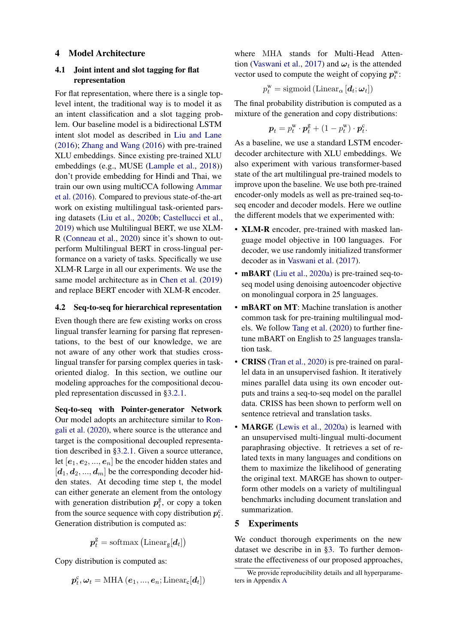#### 4 Model Architecture

### 4.1 Joint intent and slot tagging for flat representation

For flat representation, where there is a single toplevel intent, the traditional way is to model it as an intent classification and a slot tagging problem. Our baseline model is a bidirectional LSTM intent slot model as described in [Liu and Lane](#page-9-1) [\(2016\)](#page-9-1); [Zhang and Wang](#page-10-1) [\(2016\)](#page-10-1) with pre-trained XLU embeddings. Since existing pre-trained XLU embeddings (e.g., MUSE [\(Lample et al.,](#page-9-7) [2018\)](#page-9-7)) don't provide embedding for Hindi and Thai, we train our own using multiCCA following [Ammar](#page-8-5) [et al.](#page-8-5) [\(2016\)](#page-8-5). Compared to previous state-of-the-art work on existing multilingual task-oriented parsing datasets [\(Liu et al.,](#page-9-18) [2020b;](#page-9-18) [Castellucci et al.,](#page-8-6) [2019\)](#page-8-6) which use Multilingual BERT, we use XLM-R [\(Conneau et al.,](#page-8-3) [2020\)](#page-8-3) since it's shown to outperform Multilingual BERT in cross-lingual performance on a variety of tasks. Specifically we use XLM-R Large in all our experiments. We use the same model architecture as in [Chen et al.](#page-8-8) [\(2019\)](#page-8-8) and replace BERT encoder with XLM-R encoder.

#### 4.2 Seq-to-seq for hierarchical representation

Even though there are few existing works on cross lingual transfer learning for parsing flat representations, to the best of our knowledge, we are not aware of any other work that studies crosslingual transfer for parsing complex queries in taskoriented dialog. In this section, we outline our modeling approaches for the compositional decoupled representation discussed in [§3.2.1.](#page-3-0)

Seq-to-seq with Pointer-generator Network Our model adopts an architecture similar to [Ron](#page-9-2)[gali et al.](#page-9-2) [\(2020\)](#page-9-2), where source is the utterance and target is the compositional decoupled representation described in [§3.2.1.](#page-3-0) Given a source utterance, let  $[e_1, e_2, ..., e_n]$  be the encoder hidden states and  $[d_1, d_2, ..., d_m]$  be the corresponding decoder hidden states. At decoding time step t, the model can either generate an element from the ontology with generation distribution  $p_t^g$  $t<sub>t</sub><sup>g</sup>$ , or copy a token from the source sequence with copy distribution  $p_t^c$ . Generation distribution is computed as:

$$
\boldsymbol{p}^\text{g}_t = \text{softmax}\left(\text{Linear}_\text{g}[\boldsymbol{d}_t]\right)
$$

Copy distribution is computed as:

$$
\boldsymbol{p}^{\mathrm{c}}_t, \boldsymbol{\omega}_t = \mathrm{MHA}\left(\boldsymbol{e}_1, ..., \boldsymbol{e}_n; \mathrm{Linear_c}[\boldsymbol{d}_t]\right)
$$

where MHA stands for Multi-Head Atten-tion [\(Vaswani et al.,](#page-9-10) [2017\)](#page-9-10) and  $\omega_t$  is the attended vector used to compute the weight of copying  $p_t^w$ :

$$
p_t^{\mathbf{w}} = \text{sigmoid}\left(\text{Linear}_{\alpha}\left[\boldsymbol{d}_t; \boldsymbol{\omega}_t\right]\right)
$$

The final probability distribution is computed as a mixture of the generation and copy distributions:

$$
\boldsymbol{p}_t = p_t^{\mathrm{w}} \cdot \boldsymbol{p}_t^{\mathrm{g}} + (1 - p_t^{\mathrm{w}}) \cdot \boldsymbol{p}_t^{\mathrm{c}}.
$$

As a baseline, we use a standard LSTM encoderdecoder architecture with XLU embeddings. We also experiment with various transformer-based state of the art multilingual pre-trained models to improve upon the baseline. We use both pre-trained encoder-only models as well as pre-trained seq-toseq encoder and decoder models. Here we outline the different models that we experimented with:

- XLM-R encoder, pre-trained with masked language model objective in 100 languages. For decoder, we use randomly initialized transformer decoder as in [Vaswani et al.](#page-9-10) [\(2017\)](#page-9-10).
- **mBART** [\(Liu et al.,](#page-9-12) [2020a\)](#page-9-12) is pre-trained seq-toseq model using denoising autoencoder objective on monolingual corpora in 25 languages.
- **mBART** on MT: Machine translation is another common task for pre-training multilingual models. We follow [Tang et al.](#page-9-19) [\(2020\)](#page-9-19) to further finetune mBART on English to 25 languages translation task.
- **CRISS** [\(Tran et al.,](#page-9-15) [2020\)](#page-9-15) is pre-trained on parallel data in an unsupervised fashion. It iteratively mines parallel data using its own encoder outputs and trains a seq-to-seq model on the parallel data. CRISS has been shown to perform well on sentence retrieval and translation tasks.
- MARGE [\(Lewis et al.,](#page-9-14) [2020a\)](#page-9-14) is learned with an unsupervised multi-lingual multi-document paraphrasing objective. It retrieves a set of related texts in many languages and conditions on them to maximize the likelihood of generating the original text. MARGE has shown to outperform other models on a variety of multilingual benchmarks including document translation and summarization.

#### 5 Experiments

We conduct thorough experiments on the new dataset we describe in in [§3.](#page-2-1) To further demonstrate the effectiveness of our proposed approaches,

We provide reproducibility details and all hyperparameters in Appendix [A](#page-11-0)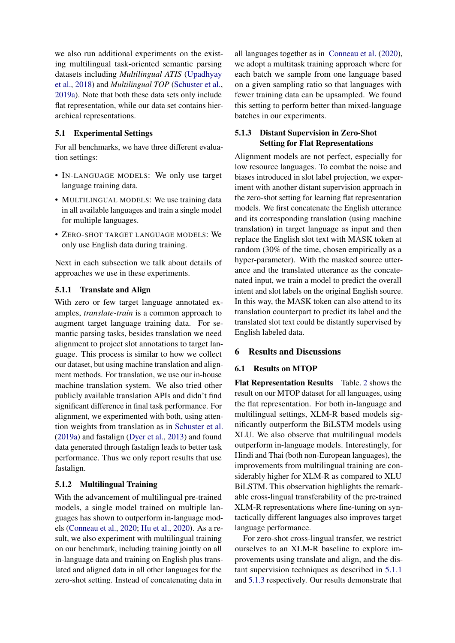we also run additional experiments on the existing multilingual task-oriented semantic parsing datasets including *Multilingual ATIS* [\(Upadhyay](#page-9-3) [et al.,](#page-9-3) [2018\)](#page-9-3) and *Multilingual TOP* [\(Schuster et al.,](#page-9-4) [2019a\)](#page-9-4). Note that both these data sets only include flat representation, while our data set contains hierarchical representations.

# 5.1 Experimental Settings

For all benchmarks, we have three different evaluation settings:

- IN-LANGUAGE MODELS: We only use target language training data.
- MULTILINGUAL MODELS: We use training data in all available languages and train a single model for multiple languages.
- ZERO-SHOT TARGET LANGUAGE MODELS: We only use English data during training.

Next in each subsection we talk about details of approaches we use in these experiments.

### <span id="page-5-0"></span>5.1.1 Translate and Align

With zero or few target language annotated examples, *translate-train* is a common approach to augment target language training data. For semantic parsing tasks, besides translation we need alignment to project slot annotations to target language. This process is similar to how we collect our dataset, but using machine translation and alignment methods. For translation, we use our in-house machine translation system. We also tried other publicly available translation APIs and didn't find significant difference in final task performance. For alignment, we experimented with both, using attention weights from translation as in [Schuster et al.](#page-9-4) [\(2019a\)](#page-9-4) and fastalign [\(Dyer et al.,](#page-8-9) [2013\)](#page-8-9) and found data generated through fastalign leads to better task performance. Thus we only report results that use fastalign.

### 5.1.2 Multilingual Training

With the advancement of multilingual pre-trained models, a single model trained on multiple languages has shown to outperform in-language models [\(Conneau et al.,](#page-8-3) [2020;](#page-8-3) [Hu et al.,](#page-8-10) [2020\)](#page-8-10). As a result, we also experiment with multilingual training on our benchmark, including training jointly on all in-language data and training on English plus translated and aligned data in all other languages for the zero-shot setting. Instead of concatenating data in

all languages together as in [Conneau et al.](#page-8-3) [\(2020\)](#page-8-3), we adopt a multitask training approach where for each batch we sample from one language based on a given sampling ratio so that languages with fewer training data can be upsampled. We found this setting to perform better than mixed-language batches in our experiments.

# <span id="page-5-1"></span>5.1.3 Distant Supervision in Zero-Shot Setting for Flat Representations

Alignment models are not perfect, especially for low resource languages. To combat the noise and biases introduced in slot label projection, we experiment with another distant supervision approach in the zero-shot setting for learning flat representation models. We first concatenate the English utterance and its corresponding translation (using machine translation) in target language as input and then replace the English slot text with MASK token at random (30% of the time, chosen empirically as a hyper-parameter). With the masked source utterance and the translated utterance as the concatenated input, we train a model to predict the overall intent and slot labels on the original English source. In this way, the MASK token can also attend to its translation counterpart to predict its label and the translated slot text could be distantly supervised by English labeled data.

# 6 Results and Discussions

#### 6.1 Results on MTOP

<span id="page-5-2"></span>Flat Representation Results Table. [2](#page-6-0) shows the result on our MTOP dataset for all languages, using the flat representation. For both in-language and multilingual settings, XLM-R based models significantly outperform the BiLSTM models using XLU. We also observe that multilingual models outperform in-language models. Interestingly, for Hindi and Thai (both non-European languages), the improvements from multilingual training are considerably higher for XLM-R as compared to XLU BiLSTM. This observation highlights the remarkable cross-lingual transferability of the pre-trained XLM-R representations where fine-tuning on syntactically different languages also improves target language performance.

For zero-shot cross-lingual transfer, we restrict ourselves to an XLM-R baseline to explore improvements using translate and align, and the distant supervision techniques as described in [5.1.1](#page-5-0) and [5.1.3](#page-5-1) respectively. Our results demonstrate that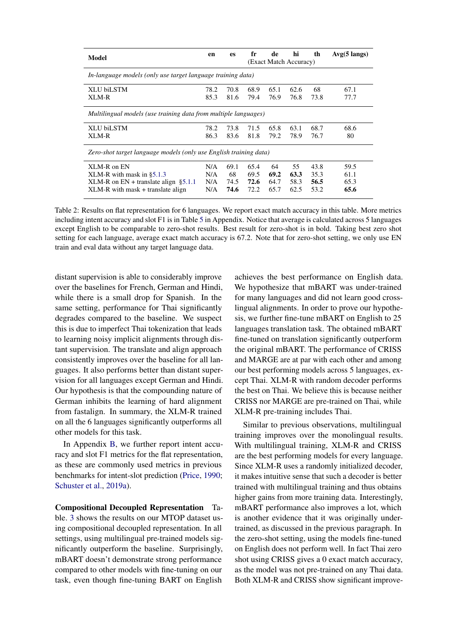<span id="page-6-0"></span>

| Model                                                                                                                           | en                       | <b>es</b>                  | fr                           | de<br>(Exact Match Accuracy) | hi                         | th                           | $Avg(5 \text{ langs})$       |  |
|---------------------------------------------------------------------------------------------------------------------------------|--------------------------|----------------------------|------------------------------|------------------------------|----------------------------|------------------------------|------------------------------|--|
| In-language models (only use target language training data)                                                                     |                          |                            |                              |                              |                            |                              |                              |  |
| XLU biLSTM<br>XLM-R                                                                                                             |                          | 70.8<br>81.6               | 68.9<br>79.4                 | 65.1<br>76.9                 | 62.6<br>76.8               | 68<br>73.8                   | 67.1<br>77.7                 |  |
| Multilingual models (use training data from multiple languages)                                                                 |                          |                            |                              |                              |                            |                              |                              |  |
| XLU biLSTM<br>XLM-R                                                                                                             | 78.2<br>86.3             | 73.8<br>83.6               | 71.5<br>81.8                 | 65.8<br>79.2                 | 63.1<br>78.9               | 68.7<br>76.7                 | 68.6<br>80                   |  |
| Zero-shot target language models (only use English training data)                                                               |                          |                            |                              |                              |                            |                              |                              |  |
| XLM-R on EN<br>XLM-R with mask in $\S 5.1.3$<br>XLM-R on $EN +$ translate align §5.1.1<br>$XLM-R$ with mask $+$ translate align | N/A<br>N/A<br>N/A<br>N/A | 69.1<br>68<br>74.5<br>74.6 | 65.4<br>69.5<br>72.6<br>72.2 | 64<br>69.2<br>64.7<br>65.7   | 55<br>63.3<br>58.3<br>62.5 | 43.8<br>35.3<br>56.5<br>53.2 | 59.5<br>61.1<br>65.3<br>65.6 |  |

Table 2: Results on flat representation for 6 languages. We report exact match accuracy in this table. More metrics including intent accuracy and slot F1 is in Table [5](#page-12-0) in Appendix. Notice that average is calculated across 5 languages except English to be comparable to zero-shot results. Best result for zero-shot is in bold. Taking best zero shot setting for each language, average exact match accuracy is 67.2. Note that for zero-shot setting, we only use EN train and eval data without any target language data.

distant supervision is able to considerably improve over the baselines for French, German and Hindi, while there is a small drop for Spanish. In the same setting, performance for Thai significantly degrades compared to the baseline. We suspect this is due to imperfect Thai tokenization that leads to learning noisy implicit alignments through distant supervision. The translate and align approach consistently improves over the baseline for all languages. It also performs better than distant supervision for all languages except German and Hindi. Our hypothesis is that the compounding nature of German inhibits the learning of hard alignment from fastalign. In summary, the XLM-R trained on all the 6 languages significantly outperforms all other models for this task.

In Appendix [B,](#page-11-1) we further report intent accuracy and slot F1 metrics for the flat representation, as these are commonly used metrics in previous benchmarks for intent-slot prediction [\(Price,](#page-9-16) [1990;](#page-9-16) [Schuster et al.,](#page-9-4) [2019a\)](#page-9-4).

Compositional Decoupled Representation Table. [3](#page-7-0) shows the results on our MTOP dataset using compositional decoupled representation. In all settings, using multilingual pre-trained models significantly outperform the baseline. Surprisingly, mBART doesn't demonstrate strong performance compared to other models with fine-tuning on our task, even though fine-tuning BART on English

achieves the best performance on English data. We hypothesize that mBART was under-trained for many languages and did not learn good crosslingual alignments. In order to prove our hypothesis, we further fine-tune mBART on English to 25 languages translation task. The obtained mBART fine-tuned on translation significantly outperform the original mBART. The performance of CRISS and MARGE are at par with each other and among our best performing models across 5 languages, except Thai. XLM-R with random decoder performs the best on Thai. We believe this is because neither CRISS nor MARGE are pre-trained on Thai, while XLM-R pre-training includes Thai.

Similar to previous observations, multilingual training improves over the monolingual results. With multilingual training, XLM-R and CRISS are the best performing models for every language. Since XLM-R uses a randomly initialized decoder, it makes intuitive sense that such a decoder is better trained with multilingual training and thus obtains higher gains from more training data. Interestingly, mBART performance also improves a lot, which is another evidence that it was originally undertrained, as discussed in the previous paragraph. In the zero-shot setting, using the models fine-tuned on English does not perform well. In fact Thai zero shot using CRISS gives a 0 exact match accuracy, as the model was not pre-trained on any Thai data. Both XLM-R and CRISS show significant improve-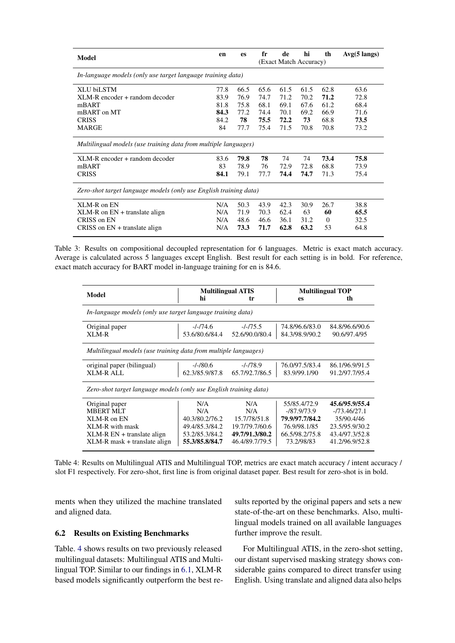<span id="page-7-0"></span>

| Model                                                             | en   | es   | fr   | de   | hi<br>(Exact Match Accuracy) | th       | $Avg(5 \text{ langs})$ |
|-------------------------------------------------------------------|------|------|------|------|------------------------------|----------|------------------------|
| In-language models (only use target language training data)       |      |      |      |      |                              |          |                        |
| <b>XLU biLSTM</b>                                                 | 77.8 | 66.5 | 65.6 | 61.5 | 61.5                         | 62.8     | 63.6                   |
| XLM-R encoder + random decoder                                    | 83.9 | 76.9 | 74.7 | 71.2 | 70.2                         | 71.2     | 72.8                   |
| mBART                                                             | 81.8 | 75.8 | 68.1 | 69.1 | 67.6                         | 61.2     | 68.4                   |
| mBART on MT                                                       | 84.3 | 77.2 | 74.4 | 70.1 | 69.2                         | 66.9     | 71.6                   |
| <b>CRISS</b>                                                      | 84.2 | 78   | 75.5 | 72.2 | 73                           | 68.8     | 73.5                   |
| <b>MARGE</b>                                                      | 84   | 77.7 | 75.4 | 71.5 | 70.8                         | 70.8     | 73.2                   |
| Multilingual models (use training data from multiple languages)   |      |      |      |      |                              |          |                        |
| XLM-R encoder + random decoder                                    | 83.6 | 79.8 | 78   | 74   | 74                           | 73.4     | 75.8                   |
| mBART                                                             | 83   | 78.9 | 76   | 72.9 | 72.8                         | 68.8     | 73.9                   |
| <b>CRISS</b>                                                      | 84.1 | 79.1 | 77.7 | 74.4 | 74.7                         | 71.3     | 75.4                   |
| Zero-shot target language models (only use English training data) |      |      |      |      |                              |          |                        |
| XLM-R on EN                                                       | N/A  | 50.3 | 43.9 | 42.3 | 30.9                         | 26.7     | 38.8                   |
| $XLM-R$ on $EN +$ translate align                                 | N/A  | 71.9 | 70.3 | 62.4 | 63                           | 60       | 65.5                   |
| CRISS on EN                                                       | N/A  | 48.6 | 46.6 | 36.1 | 31.2                         | $\Omega$ | 32.5                   |
| CRISS on $EN +$ translate align                                   | N/A  | 73.3 | 71.7 | 62.8 | 63.2                         | 53       | 64.8                   |

Table 3: Results on compositional decoupled representation for 6 languages. Metric is exact match accuracy. Average is calculated across 5 languages except English. Best result for each setting is in bold. For reference, exact match accuracy for BART model in-language training for en is 84.6.

<span id="page-7-1"></span>

| Model                                                             |                | <b>Multilingual ATIS</b> | <b>Multilingual TOP</b> |                |  |  |  |  |
|-------------------------------------------------------------------|----------------|--------------------------|-------------------------|----------------|--|--|--|--|
|                                                                   | hi             | tr                       | es                      | th             |  |  |  |  |
| In-language models (only use target language training data)       |                |                          |                         |                |  |  |  |  |
| Original paper                                                    | -/-/74.6       | $-1 - 75.5$              | 74.8/96.6/83.0          | 84.8/96.6/90.6 |  |  |  |  |
| XLM-R                                                             | 53.6/80.6/84.4 | 52.6/90.0/80.4           | 84.3/98.9/90.2          | 90.6/97.4/95   |  |  |  |  |
| Multilingual models (use training data from multiple languages)   |                |                          |                         |                |  |  |  |  |
| original paper (bilingual)                                        | $-/-/80.6$     | $-/-/78.9$               | 76.0/97.5/83.4          | 86.1/96.9/91.5 |  |  |  |  |
| XLM-R ALL                                                         | 62.3/85.9/87.8 | 65.7/92.7/86.5           | 83.9/99.1/90            | 91.2/97.7/95.4 |  |  |  |  |
| Zero-shot target language models (only use English training data) |                |                          |                         |                |  |  |  |  |
| Original paper                                                    | N/A            | N/A                      | 55/85.4/72.9            | 45.6/95.9/55.4 |  |  |  |  |
| <b>MBERT MLT</b>                                                  | N/A            | N/A                      | $-187.9173.9$           | -/73.46/27.1   |  |  |  |  |
| XLM-R on EN                                                       | 40.3/80.2/76.2 | 15.7/78/51.8             | 79.9/97.7/84.2          | 35/90.4/46     |  |  |  |  |
| XLM-R with mask                                                   | 49.4/85.3/84.2 | 19.7/79.7/60.6           | 76.9/98.1/85            | 23.5/95.9/30.2 |  |  |  |  |
| $XLM-R EN + translate$ align                                      | 53.2/85.3/84.2 | 49.7/91.3/80.2           | 66.5/98.2/75.8          | 43.4/97.3/52.8 |  |  |  |  |
| XLM-R mask + translate align                                      | 55.3/85.8/84.7 | 46.4/89.7/79.5           | 73.2/98/83              | 41.2/96.9/52.8 |  |  |  |  |

Table 4: Results on Multilingual ATIS and Multilingual TOP, metrics are exact match accuracy / intent accuracy / slot F1 respectively. For zero-shot, first line is from original dataset paper. Best result for zero-shot is in bold.

ments when they utilized the machine translated and aligned data.

#### 6.2 Results on Existing Benchmarks

Table. [4](#page-7-1) shows results on two previously released multilingual datasets: Multilingual ATIS and Multilingual TOP. Similar to our findings in [6.1,](#page-5-2) XLM-R based models significantly outperform the best results reported by the original papers and sets a new state-of-the-art on these benchmarks. Also, multilingual models trained on all available languages further improve the result.

For Multilingual ATIS, in the zero-shot setting, our distant supervised masking strategy shows considerable gains compared to direct transfer using English. Using translate and aligned data also helps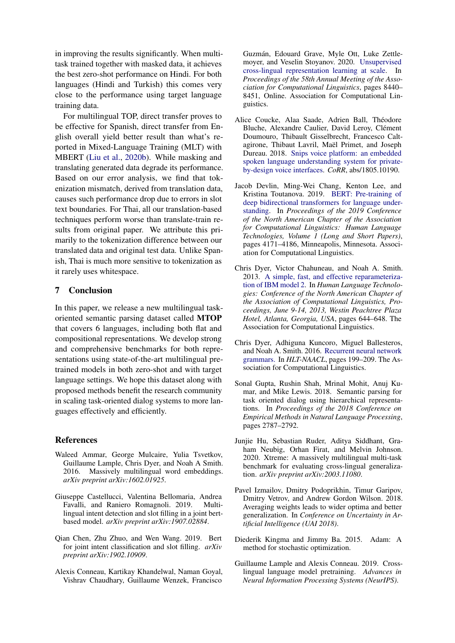in improving the results significantly. When multitask trained together with masked data, it achieves the best zero-shot performance on Hindi. For both languages (Hindi and Turkish) this comes very close to the performance using target language training data.

For multilingual TOP, direct transfer proves to be effective for Spanish, direct transfer from English overall yield better result than what's reported in Mixed-Language Training (MLT) with MBERT [\(Liu et al.,](#page-9-18) [2020b\)](#page-9-18). While masking and translating generated data degrade its performance. Based on our error analysis, we find that tokenization mismatch, derived from translation data, causes such performance drop due to errors in slot text boundaries. For Thai, all our translation-based techniques perform worse than translate-train results from original paper. We attribute this primarily to the tokenization difference between our translated data and original test data. Unlike Spanish, Thai is much more sensitive to tokenization as it rarely uses whitespace.

# 7 Conclusion

In this paper, we release a new multilingual taskoriented semantic parsing dataset called MTOP that covers 6 languages, including both flat and compositional representations. We develop strong and comprehensive benchmarks for both representations using state-of-the-art multilingual pretrained models in both zero-shot and with target language settings. We hope this dataset along with proposed methods benefit the research community in scaling task-oriented dialog systems to more languages effectively and efficiently.

#### References

- <span id="page-8-5"></span>Waleed Ammar, George Mulcaire, Yulia Tsvetkov, Guillaume Lample, Chris Dyer, and Noah A Smith. 2016. Massively multilingual word embeddings. *arXiv preprint arXiv:1602.01925*.
- <span id="page-8-6"></span>Giuseppe Castellucci, Valentina Bellomaria, Andrea Favalli, and Raniero Romagnoli. 2019. Multilingual intent detection and slot filling in a joint bertbased model. *arXiv preprint arXiv:1907.02884*.
- <span id="page-8-8"></span>Qian Chen, Zhu Zhuo, and Wen Wang. 2019. Bert for joint intent classification and slot filling. *arXiv preprint arXiv:1902.10909*.
- <span id="page-8-3"></span>Alexis Conneau, Kartikay Khandelwal, Naman Goyal, Vishrav Chaudhary, Guillaume Wenzek, Francisco

Guzman, Edouard Grave, Myle Ott, Luke Zettle- ´ moyer, and Veselin Stoyanov. 2020. [Unsupervised](https://doi.org/10.18653/v1/2020.acl-main.747) [cross-lingual representation learning at scale.](https://doi.org/10.18653/v1/2020.acl-main.747) In *Proceedings of the 58th Annual Meeting of the Association for Computational Linguistics*, pages 8440– 8451, Online. Association for Computational Linguistics.

- <span id="page-8-7"></span>Alice Coucke, Alaa Saade, Adrien Ball, Théodore Bluche, Alexandre Caulier, David Leroy, Clément Doumouro, Thibault Gisselbrecht, Francesco Caltagirone, Thibaut Lavril, Maël Primet, and Joseph Dureau. 2018. [Snips voice platform: an embedded](http://arxiv.org/abs/1805.10190) [spoken language understanding system for private](http://arxiv.org/abs/1805.10190)[by-design voice interfaces.](http://arxiv.org/abs/1805.10190) *CoRR*, abs/1805.10190.
- <span id="page-8-1"></span>Jacob Devlin, Ming-Wei Chang, Kenton Lee, and Kristina Toutanova. 2019. [BERT: Pre-training of](https://doi.org/10.18653/v1/N19-1423) [deep bidirectional transformers for language under](https://doi.org/10.18653/v1/N19-1423)[standing.](https://doi.org/10.18653/v1/N19-1423) In *Proceedings of the 2019 Conference of the North American Chapter of the Association for Computational Linguistics: Human Language Technologies, Volume 1 (Long and Short Papers)*, pages 4171–4186, Minneapolis, Minnesota. Association for Computational Linguistics.
- <span id="page-8-9"></span>Chris Dyer, Victor Chahuneau, and Noah A. Smith. 2013. [A simple, fast, and effective reparameteriza](https://www.aclweb.org/anthology/N13-1073/)[tion of IBM model 2.](https://www.aclweb.org/anthology/N13-1073/) In *Human Language Technologies: Conference of the North American Chapter of the Association of Computational Linguistics, Proceedings, June 9-14, 2013, Westin Peachtree Plaza Hotel, Atlanta, Georgia, USA*, pages 644–648. The Association for Computational Linguistics.
- <span id="page-8-4"></span>Chris Dyer, Adhiguna Kuncoro, Miguel Ballesteros, and Noah A. Smith. 2016. [Recurrent neural network](http://dblp.uni-trier.de/db/conf/naacl/naacl2016.html#DyerKBS16) [grammars.](http://dblp.uni-trier.de/db/conf/naacl/naacl2016.html#DyerKBS16) In *HLT-NAACL*, pages 199–209. The Association for Computational Linguistics.
- <span id="page-8-0"></span>Sonal Gupta, Rushin Shah, Mrinal Mohit, Anuj Kumar, and Mike Lewis. 2018. Semantic parsing for task oriented dialog using hierarchical representations. In *Proceedings of the 2018 Conference on Empirical Methods in Natural Language Processing*, pages 2787–2792.
- <span id="page-8-10"></span>Junjie Hu, Sebastian Ruder, Aditya Siddhant, Graham Neubig, Orhan Firat, and Melvin Johnson. 2020. Xtreme: A massively multilingual multi-task benchmark for evaluating cross-lingual generalization. *arXiv preprint arXiv:2003.11080*.
- <span id="page-8-12"></span>Pavel Izmailov, Dmitry Podoprikhin, Timur Garipov, Dmitry Vetrov, and Andrew Gordon Wilson. 2018. Averaging weights leads to wider optima and better generalization. In *Conference on Uncertainty in Artificial Intelligence (UAI 2018)*.
- <span id="page-8-11"></span>Diederik Kingma and Jimmy Ba. 2015. Adam: A method for stochastic optimization.
- <span id="page-8-2"></span>Guillaume Lample and Alexis Conneau. 2019. Crosslingual language model pretraining. *Advances in Neural Information Processing Systems (NeurIPS)*.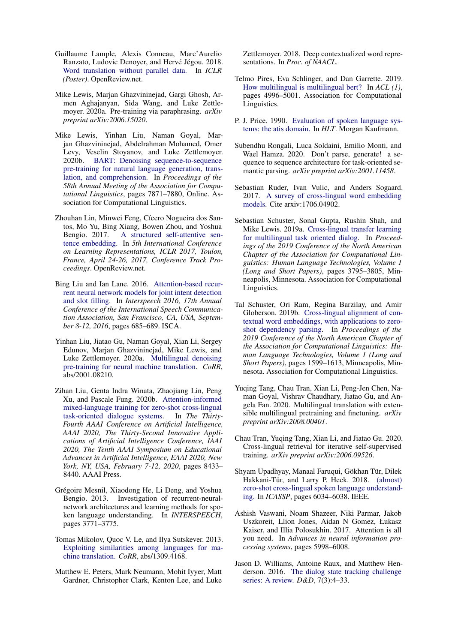- <span id="page-9-7"></span>Guillaume Lample, Alexis Conneau, Marc'Aurelio Ranzato, Ludovic Denoyer, and Hervé Jégou. 2018. [Word translation without parallel data.](http://dblp.uni-trier.de/db/conf/iclr/iclr2018.html#LampleCRDJ18) In *ICLR (Poster)*. OpenReview.net.
- <span id="page-9-14"></span>Mike Lewis, Marjan Ghazvininejad, Gargi Ghosh, Armen Aghajanyan, Sida Wang, and Luke Zettlemoyer. 2020a. Pre-training via paraphrasing. *arXiv preprint arXiv:2006.15020*.
- <span id="page-9-13"></span>Mike Lewis, Yinhan Liu, Naman Goyal, Marjan Ghazvininejad, Abdelrahman Mohamed, Omer Levy, Veselin Stoyanov, and Luke Zettlemoyer. 2020b. [BART: Denoising sequence-to-sequence](https://doi.org/10.18653/v1/2020.acl-main.703) [pre-training for natural language generation, trans](https://doi.org/10.18653/v1/2020.acl-main.703)[lation, and comprehension.](https://doi.org/10.18653/v1/2020.acl-main.703) In *Proceedings of the 58th Annual Meeting of the Association for Computational Linguistics*, pages 7871–7880, Online. Association for Computational Linguistics.
- <span id="page-9-20"></span>Zhouhan Lin, Minwei Feng, Cícero Nogueira dos Santos, Mo Yu, Bing Xiang, Bowen Zhou, and Yoshua Bengio. 2017. [A structured self-attentive sen](https://openreview.net/forum?id=BJC_jUqxe)[tence embedding.](https://openreview.net/forum?id=BJC_jUqxe) In *5th International Conference on Learning Representations, ICLR 2017, Toulon, France, April 24-26, 2017, Conference Track Proceedings*. OpenReview.net.
- <span id="page-9-1"></span>Bing Liu and Ian Lane. 2016. [Attention-based recur](https://doi.org/10.21437/Interspeech.2016-1352)[rent neural network models for joint intent detection](https://doi.org/10.21437/Interspeech.2016-1352) [and slot filling.](https://doi.org/10.21437/Interspeech.2016-1352) In *Interspeech 2016, 17th Annual Conference of the International Speech Communication Association, San Francisco, CA, USA, September 8-12, 2016*, pages 685–689. ISCA.
- <span id="page-9-12"></span>Yinhan Liu, Jiatao Gu, Naman Goyal, Xian Li, Sergey Edunov, Marjan Ghazvininejad, Mike Lewis, and Luke Zettlemoyer. 2020a. [Multilingual denoising](http://arxiv.org/abs/2001.08210) [pre-training for neural machine translation.](http://arxiv.org/abs/2001.08210) *CoRR*, abs/2001.08210.
- <span id="page-9-18"></span>Zihan Liu, Genta Indra Winata, Zhaojiang Lin, Peng Xu, and Pascale Fung. 2020b. [Attention-informed](https://aaai.org/ojs/index.php/AAAI/article/view/6362) [mixed-language training for zero-shot cross-lingual](https://aaai.org/ojs/index.php/AAAI/article/view/6362) [task-oriented dialogue systems.](https://aaai.org/ojs/index.php/AAAI/article/view/6362) In *The Thirty-Fourth AAAI Conference on Artificial Intelligence, AAAI 2020, The Thirty-Second Innovative Applications of Artificial Intelligence Conference, IAAI 2020, The Tenth AAAI Symposium on Educational Advances in Artificial Intelligence, EAAI 2020, New York, NY, USA, February 7-12, 2020*, pages 8433– 8440. AAAI Press.
- <span id="page-9-0"></span>Grégoire Mesnil, Xiaodong He, Li Deng, and Yoshua Bengio. 2013. Investigation of recurrent-neuralnetwork architectures and learning methods for spoken language understanding. In *INTERSPEECH*, pages 3771–3775.
- <span id="page-9-6"></span>Tomas Mikolov, Quoc V. Le, and Ilya Sutskever. 2013. [Exploiting similarities among languages for ma](http://dblp.uni-trier.de/db/journals/corr/corr1309.html#MikolovLS13)[chine translation.](http://dblp.uni-trier.de/db/journals/corr/corr1309.html#MikolovLS13) *CoRR*, abs/1309.4168.
- <span id="page-9-9"></span>Matthew E. Peters, Mark Neumann, Mohit Iyyer, Matt Gardner, Christopher Clark, Kenton Lee, and Luke

Zettlemoyer. 2018. Deep contextualized word representations. In *Proc. of NAACL*.

- <span id="page-9-11"></span>Telmo Pires, Eva Schlinger, and Dan Garrette. 2019. [How multilingual is multilingual bert?](http://dblp.uni-trier.de/db/conf/acl/acl2019-1.html#PiresSG19) In *ACL (1)*, pages 4996–5001. Association for Computational Linguistics.
- <span id="page-9-16"></span>P. J. Price. 1990. [Evaluation of spoken language sys](http://dblp.uni-trier.de/db/conf/naacl/naacl1990.html#Price90)[tems: the atis domain.](http://dblp.uni-trier.de/db/conf/naacl/naacl1990.html#Price90) In *HLT*. Morgan Kaufmann.
- <span id="page-9-2"></span>Subendhu Rongali, Luca Soldaini, Emilio Monti, and Wael Hamza. 2020. Don't parse, generate! a sequence to sequence architecture for task-oriented semantic parsing. *arXiv preprint arXiv:2001.11458*.
- <span id="page-9-17"></span>Sebastian Ruder, Ivan Vulic, and Anders Sogaard. 2017. [A survey of cross-lingual word embedding](http://arxiv.org/abs/1706.04902) [models.](http://arxiv.org/abs/1706.04902) Cite arxiv:1706.04902.
- <span id="page-9-4"></span>Sebastian Schuster, Sonal Gupta, Rushin Shah, and Mike Lewis. 2019a. [Cross-lingual transfer learning](https://doi.org/10.18653/v1/N19-1380) [for multilingual task oriented dialog.](https://doi.org/10.18653/v1/N19-1380) In *Proceedings of the 2019 Conference of the North American Chapter of the Association for Computational Linguistics: Human Language Technologies, Volume 1 (Long and Short Papers)*, pages 3795–3805, Minneapolis, Minnesota. Association for Computational Linguistics.
- <span id="page-9-8"></span>Tal Schuster, Ori Ram, Regina Barzilay, and Amir Globerson. 2019b. [Cross-lingual alignment of con](https://www.aclweb.org/anthology/N19-1162)[textual word embeddings, with applications to zero](https://www.aclweb.org/anthology/N19-1162)[shot dependency parsing.](https://www.aclweb.org/anthology/N19-1162) In *Proceedings of the 2019 Conference of the North American Chapter of the Association for Computational Linguistics: Human Language Technologies, Volume 1 (Long and Short Papers)*, pages 1599–1613, Minneapolis, Minnesota. Association for Computational Linguistics.
- <span id="page-9-19"></span>Yuqing Tang, Chau Tran, Xian Li, Peng-Jen Chen, Naman Goyal, Vishrav Chaudhary, Jiatao Gu, and Angela Fan. 2020. Multilingual translation with extensible multilingual pretraining and finetuning. *arXiv preprint arXiv:2008.00401*.
- <span id="page-9-15"></span>Chau Tran, Yuqing Tang, Xian Li, and Jiatao Gu. 2020. Cross-lingual retrieval for iterative self-supervised training. *arXiv preprint arXiv:2006.09526*.
- <span id="page-9-3"></span>Shyam Upadhyay, Manaal Faruqui, Gökhan Tür, Dilek Hakkani-Tür, and Larry P. Heck. 2018. [\(almost\)](http://dblp.uni-trier.de/db/conf/icassp/icassp2018.html#UpadhyayFTHH18) [zero-shot cross-lingual spoken language understand](http://dblp.uni-trier.de/db/conf/icassp/icassp2018.html#UpadhyayFTHH18)[ing.](http://dblp.uni-trier.de/db/conf/icassp/icassp2018.html#UpadhyayFTHH18) In *ICASSP*, pages 6034–6038. IEEE.
- <span id="page-9-10"></span>Ashish Vaswani, Noam Shazeer, Niki Parmar, Jakob Uszkoreit, Llion Jones, Aidan N Gomez, Łukasz Kaiser, and Illia Polosukhin. 2017. Attention is all you need. In *Advances in neural information processing systems*, pages 5998–6008.
- <span id="page-9-5"></span>Jason D. Williams, Antoine Raux, and Matthew Henderson. 2016. [The dialog state tracking challenge](http://dblp.uni-trier.de/db/journals/dad/dad7.html#WilliamsRH16a) [series: A review.](http://dblp.uni-trier.de/db/journals/dad/dad7.html#WilliamsRH16a) *D&D*, 7(3):4–33.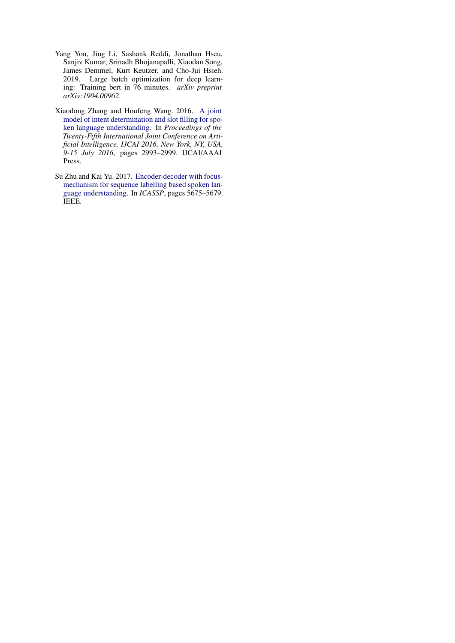- <span id="page-10-2"></span>Yang You, Jing Li, Sashank Reddi, Jonathan Hseu, Sanjiv Kumar, Srinadh Bhojanapalli, Xiaodan Song, James Demmel, Kurt Keutzer, and Cho-Jui Hsieh. 2019. Large batch optimization for deep learning: Training bert in 76 minutes. *arXiv preprint arXiv:1904.00962*.
- <span id="page-10-1"></span>Xiaodong Zhang and Houfeng Wang. 2016. [A joint](http://www.ijcai.org/Abstract/16/425) [model of intent determination and slot filling for spo](http://www.ijcai.org/Abstract/16/425)[ken language understanding.](http://www.ijcai.org/Abstract/16/425) In *Proceedings of the Twenty-Fifth International Joint Conference on Artificial Intelligence, IJCAI 2016, New York, NY, USA, 9-15 July 2016*, pages 2993–2999. IJCAI/AAAI Press.
- <span id="page-10-0"></span>Su Zhu and Kai Yu. 2017. [Encoder-decoder with focus](http://dblp.uni-trier.de/db/conf/icassp/icassp2017.html#ZhuY17)[mechanism for sequence labelling based spoken lan](http://dblp.uni-trier.de/db/conf/icassp/icassp2017.html#ZhuY17)[guage understanding.](http://dblp.uni-trier.de/db/conf/icassp/icassp2017.html#ZhuY17) In *ICASSP*, pages 5675–5679. IEEE.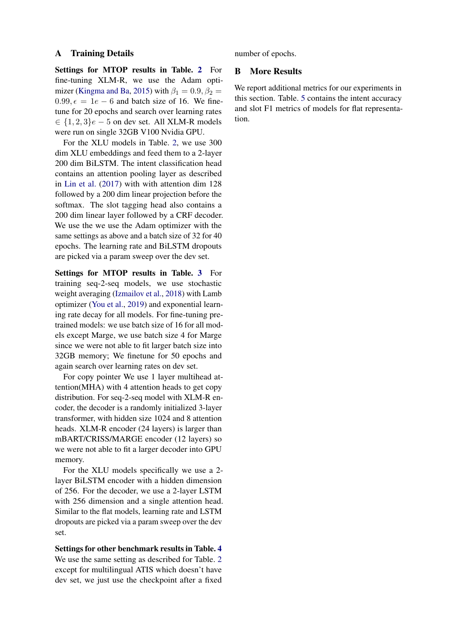#### <span id="page-11-0"></span>A Training Details

Settings for MTOP results in Table. [2](#page-6-0) For fine-tuning XLM-R, we use the Adam opti-mizer [\(Kingma and Ba,](#page-8-11) [2015\)](#page-8-11) with  $\beta_1 = 0.9$ ,  $\beta_2 =$ 0.99,  $\epsilon = 1e - 6$  and batch size of 16. We finetune for 20 epochs and search over learning rates  $\in \{1, 2, 3\}$ e − 5 on dev set. All XLM-R models were run on single 32GB V100 Nvidia GPU.

For the XLU models in Table. [2,](#page-6-0) we use 300 dim XLU embeddings and feed them to a 2-layer 200 dim BiLSTM. The intent classification head contains an attention pooling layer as described in [Lin et al.](#page-9-20) [\(2017\)](#page-9-20) with with attention dim 128 followed by a 200 dim linear projection before the softmax. The slot tagging head also contains a 200 dim linear layer followed by a CRF decoder. We use the we use the Adam optimizer with the same settings as above and a batch size of 32 for 40 epochs. The learning rate and BiLSTM dropouts are picked via a param sweep over the dev set.

Settings for MTOP results in Table. [3](#page-7-0) For training seq-2-seq models, we use stochastic weight averaging [\(Izmailov et al.,](#page-8-12) [2018\)](#page-8-12) with Lamb optimizer [\(You et al.,](#page-10-2) [2019\)](#page-10-2) and exponential learning rate decay for all models. For fine-tuning pretrained models: we use batch size of 16 for all models except Marge, we use batch size 4 for Marge since we were not able to fit larger batch size into 32GB memory; We finetune for 50 epochs and again search over learning rates on dev set.

For copy pointer We use 1 layer multihead attention(MHA) with 4 attention heads to get copy distribution. For seq-2-seq model with XLM-R encoder, the decoder is a randomly initialized 3-layer transformer, with hidden size 1024 and 8 attention heads. XLM-R encoder (24 layers) is larger than mBART/CRISS/MARGE encoder (12 layers) so we were not able to fit a larger decoder into GPU memory.

For the XLU models specifically we use a 2 layer BiLSTM encoder with a hidden dimension of 256. For the decoder, we use a 2-layer LSTM with 256 dimension and a single attention head. Similar to the flat models, learning rate and LSTM dropouts are picked via a param sweep over the dev set.

Settings for other benchmark results in Table. [4](#page-7-1) We use the same setting as described for Table. [2](#page-6-0) except for multilingual ATIS which doesn't have dev set, we just use the checkpoint after a fixed number of epochs.

### <span id="page-11-1"></span>B More Results

We report additional metrics for our experiments in this section. Table. [5](#page-12-0) contains the intent accuracy and slot F1 metrics of models for flat representation.